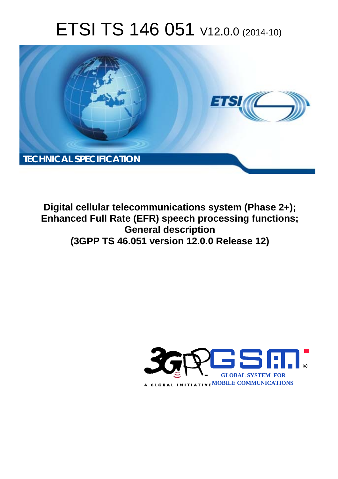# ETSI TS 146 051 V12.0.0 (2014-10)



**Digital cellular telecommunications system (Phase 2+); Enhanced Full Rate (EFR) speech processing functions; General description (3GPP TS 46.051 version 12.0.0 Release 12)** 

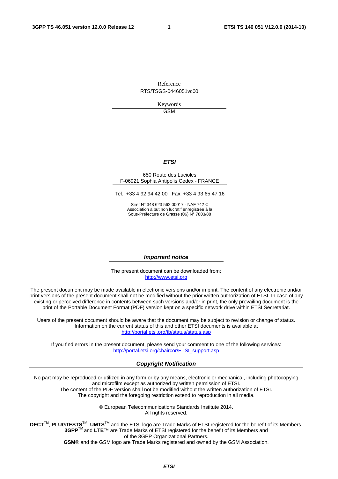Reference RTS/TSGS-0446051vc00

> Keywords **GSM**

#### *ETSI*

#### 650 Route des Lucioles F-06921 Sophia Antipolis Cedex - FRANCE

Tel.: +33 4 92 94 42 00 Fax: +33 4 93 65 47 16

Siret N° 348 623 562 00017 - NAF 742 C Association à but non lucratif enregistrée à la Sous-Préfecture de Grasse (06) N° 7803/88

#### *Important notice*

The present document can be downloaded from: [http://www.etsi.org](http://www.etsi.org/)

The present document may be made available in electronic versions and/or in print. The content of any electronic and/or print versions of the present document shall not be modified without the prior written authorization of ETSI. In case of any existing or perceived difference in contents between such versions and/or in print, the only prevailing document is the print of the Portable Document Format (PDF) version kept on a specific network drive within ETSI Secretariat.

Users of the present document should be aware that the document may be subject to revision or change of status. Information on the current status of this and other ETSI documents is available at <http://portal.etsi.org/tb/status/status.asp>

If you find errors in the present document, please send your comment to one of the following services: [http://portal.etsi.org/chaircor/ETSI\\_support.asp](http://portal.etsi.org/chaircor/ETSI_support.asp)

#### *Copyright Notification*

No part may be reproduced or utilized in any form or by any means, electronic or mechanical, including photocopying and microfilm except as authorized by written permission of ETSI.

The content of the PDF version shall not be modified without the written authorization of ETSI. The copyright and the foregoing restriction extend to reproduction in all media.

> © European Telecommunications Standards Institute 2014. All rights reserved.

**DECT**TM, **PLUGTESTS**TM, **UMTS**TM and the ETSI logo are Trade Marks of ETSI registered for the benefit of its Members. **3GPP**TM and **LTE**™ are Trade Marks of ETSI registered for the benefit of its Members and of the 3GPP Organizational Partners.

**GSM**® and the GSM logo are Trade Marks registered and owned by the GSM Association.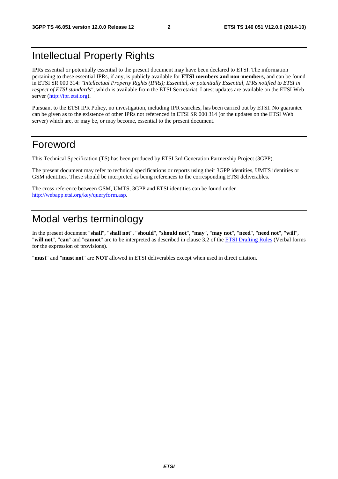### Intellectual Property Rights

IPRs essential or potentially essential to the present document may have been declared to ETSI. The information pertaining to these essential IPRs, if any, is publicly available for **ETSI members and non-members**, and can be found in ETSI SR 000 314: *"Intellectual Property Rights (IPRs); Essential, or potentially Essential, IPRs notified to ETSI in respect of ETSI standards"*, which is available from the ETSI Secretariat. Latest updates are available on the ETSI Web server [\(http://ipr.etsi.org](http://webapp.etsi.org/IPR/home.asp)).

Pursuant to the ETSI IPR Policy, no investigation, including IPR searches, has been carried out by ETSI. No guarantee can be given as to the existence of other IPRs not referenced in ETSI SR 000 314 (or the updates on the ETSI Web server) which are, or may be, or may become, essential to the present document.

### Foreword

This Technical Specification (TS) has been produced by ETSI 3rd Generation Partnership Project (3GPP).

The present document may refer to technical specifications or reports using their 3GPP identities, UMTS identities or GSM identities. These should be interpreted as being references to the corresponding ETSI deliverables.

The cross reference between GSM, UMTS, 3GPP and ETSI identities can be found under [http://webapp.etsi.org/key/queryform.asp.](http://webapp.etsi.org/key/queryform.asp)

### Modal verbs terminology

In the present document "**shall**", "**shall not**", "**should**", "**should not**", "**may**", "**may not**", "**need**", "**need not**", "**will**", "**will not**", "**can**" and "**cannot**" are to be interpreted as described in clause 3.2 of the [ETSI Drafting Rules](http://portal.etsi.org/Help/editHelp!/Howtostart/ETSIDraftingRules.aspx) (Verbal forms for the expression of provisions).

"**must**" and "**must not**" are **NOT** allowed in ETSI deliverables except when used in direct citation.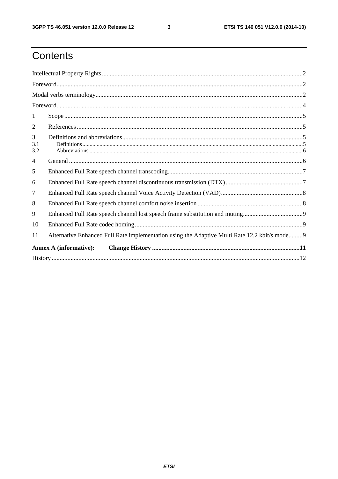$\mathbf{3}$ 

# Contents

| 1               |                                                                                                |  |  |  |  |
|-----------------|------------------------------------------------------------------------------------------------|--|--|--|--|
| 2               |                                                                                                |  |  |  |  |
| 3<br>3.1<br>3.2 |                                                                                                |  |  |  |  |
| 4               |                                                                                                |  |  |  |  |
| 5               |                                                                                                |  |  |  |  |
| 6               |                                                                                                |  |  |  |  |
| $\overline{7}$  |                                                                                                |  |  |  |  |
| 8               |                                                                                                |  |  |  |  |
| 9               |                                                                                                |  |  |  |  |
| 10              |                                                                                                |  |  |  |  |
| 11              | Alternative Enhanced Full Rate implementation using the Adaptive Multi Rate 12.2 kbit/s mode 9 |  |  |  |  |
|                 | <b>Annex A (informative):</b>                                                                  |  |  |  |  |
|                 |                                                                                                |  |  |  |  |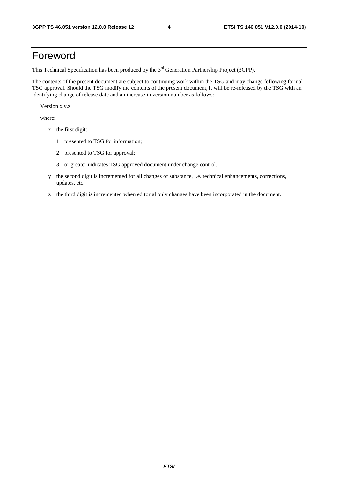### Foreword

This Technical Specification has been produced by the 3<sup>rd</sup> Generation Partnership Project (3GPP).

The contents of the present document are subject to continuing work within the TSG and may change following formal TSG approval. Should the TSG modify the contents of the present document, it will be re-released by the TSG with an identifying change of release date and an increase in version number as follows:

Version x.y.z

where:

- x the first digit:
	- 1 presented to TSG for information;
	- 2 presented to TSG for approval;
	- 3 or greater indicates TSG approved document under change control.
- y the second digit is incremented for all changes of substance, i.e. technical enhancements, corrections, updates, etc.
- z the third digit is incremented when editorial only changes have been incorporated in the document.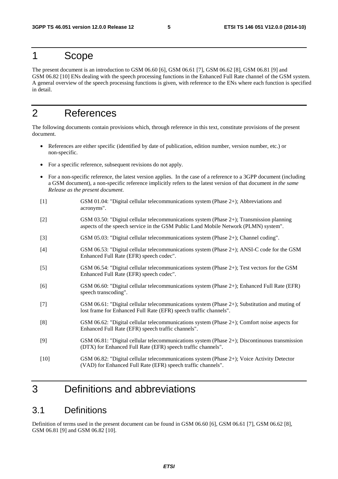### 1 Scope

The present document is an introduction to GSM 06.60 [6], GSM 06.61 [7], GSM 06.62 [8], GSM 06.81 [9] and GSM 06.82 [10] ENs dealing with the speech processing functions in the Enhanced Full Rate channel of the GSM system. A general overview of the speech processing functions is given, with reference to the ENs where each function is specified in detail.

### 2 References

The following documents contain provisions which, through reference in this text, constitute provisions of the present document.

- References are either specific (identified by date of publication, edition number, version number, etc.) or non-specific.
- For a specific reference, subsequent revisions do not apply.
- For a non-specific reference, the latest version applies. In the case of a reference to a 3GPP document (including a GSM document), a non-specific reference implicitly refers to the latest version of that document *in the same Release as the present document*.
- [1] GSM 01.04: "Digital cellular telecommunications system (Phase 2+); Abbreviations and acronyms".
- [2] GSM 03.50: "Digital cellular telecommunications system (Phase 2+); Transmission planning aspects of the speech service in the GSM Public Land Mobile Network (PLMN) system".
- [3] GSM 05.03: "Digital cellular telecommunications system (Phase 2+); Channel coding".
- [4] GSM 06.53: "Digital cellular telecommunications system (Phase 2+); ANSI-C code for the GSM Enhanced Full Rate (EFR) speech codec".
- [5] GSM 06.54: "Digital cellular telecommunications system (Phase 2+); Test vectors for the GSM Enhanced Full Rate (EFR) speech codec".
- [6] GSM 06.60: "Digital cellular telecommunications system (Phase 2+); Enhanced Full Rate (EFR) speech transcoding".
- [7] GSM 06.61: "Digital cellular telecommunications system (Phase 2+); Substitution and muting of lost frame for Enhanced Full Rate (EFR) speech traffic channels".
- [8] GSM 06.62: "Digital cellular telecommunications system (Phase 2+); Comfort noise aspects for Enhanced Full Rate (EFR) speech traffic channels".
- [9] GSM 06.81: "Digital cellular telecommunications system (Phase 2+); Discontinuous transmission (DTX) for Enhanced Full Rate (EFR) speech traffic channels".
- [10] GSM 06.82: "Digital cellular telecommunications system (Phase 2+); Voice Activity Detector (VAD) for Enhanced Full Rate (EFR) speech traffic channels".

### 3 Definitions and abbreviations

#### 3.1 Definitions

Definition of terms used in the present document can be found in GSM 06.60 [6], GSM 06.61 [7], GSM 06.62 [8], GSM 06.81 [9] and GSM 06.82 [10].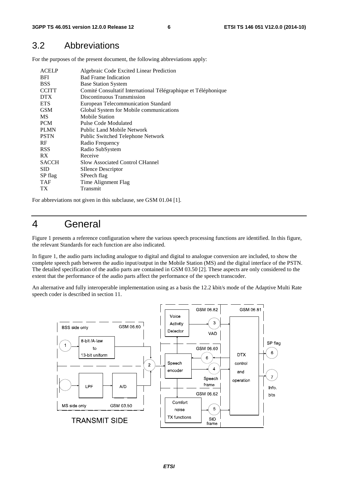#### 3.2 Abbreviations

For the purposes of the present document, the following abbreviations apply:

| <b>ACELP</b><br><b>BFI</b><br><b>BSS</b><br><b>CCITT</b> | Algebraic Code Excited Linear Prediction<br><b>Bad Frame Indication</b><br><b>Base Station System</b><br>Comité Consultatif International Télégraphique et Téléphonique |
|----------------------------------------------------------|-------------------------------------------------------------------------------------------------------------------------------------------------------------------------|
| <b>DTX</b>                                               | Discontinuous Transmission                                                                                                                                              |
| <b>ETS</b>                                               | European Telecommunication Standard                                                                                                                                     |
| <b>GSM</b>                                               | Global System for Mobile communications                                                                                                                                 |
| <b>MS</b>                                                | <b>Mobile Station</b>                                                                                                                                                   |
| <b>PCM</b>                                               | Pulse Code Modulated                                                                                                                                                    |
| <b>PLMN</b>                                              | Public Land Mobile Network                                                                                                                                              |
| <b>PSTN</b>                                              | Public Switched Telephone Network                                                                                                                                       |
| RF                                                       | Radio Frequency                                                                                                                                                         |
| <b>RSS</b>                                               | Radio SubSystem                                                                                                                                                         |
| RX.                                                      | Receive                                                                                                                                                                 |
| <b>SACCH</b>                                             | <b>Slow Associated Control CHannel</b>                                                                                                                                  |
| <b>SID</b>                                               | SIlence Descriptor                                                                                                                                                      |
| SP flag                                                  | SPeech flag                                                                                                                                                             |
| <b>TAF</b>                                               | Time Alignment Flag                                                                                                                                                     |
| TХ                                                       | Transmit                                                                                                                                                                |

For abbreviations not given in this subclause, see GSM 01.04 [1].

### 4 General

Figure 1 presents a reference configuration where the various speech processing functions are identified. In this figure, the relevant Standards for each function are also indicated.

In figure 1, the audio parts including analogue to digital and digital to analogue conversion are included, to show the complete speech path between the audio input/output in the Mobile Station (MS) and the digital interface of the PSTN. The detailed specification of the audio parts are contained in GSM 03.50 [2]. These aspects are only considered to the extent that the performance of the audio parts affect the performance of the speech transcoder.

An alternative and fully interoperable implementation using as a basis the 12.2 kbit/s mode of the Adaptive Multi Rate speech coder is described in section 11.

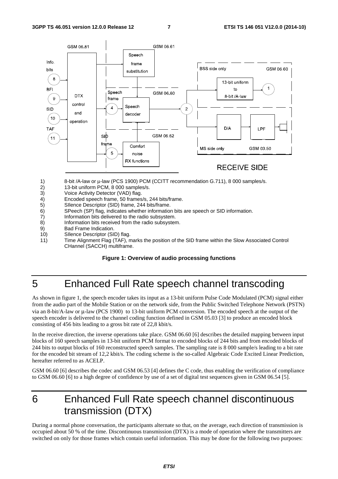

- 1) 8-bit /A-law or μ-law (PCS 1900) PCM (CCITT recommendation G.711), 8 000 samples/s.
- 2) 13-bit uniform PCM, 8 000 samples/s.<br>3) Voice Activity Detector (VAD) flag.
- Voice Activity Detector (VAD) flag.
- 4) Encoded speech frame, 50 frames/s, 244 bits/frame.<br>5) Sllence Descriptor (SID) frame, 244 bits/frame.
- 5) SIlence Descriptor (SID) frame, 244 bits/frame.
- 6) SPeech (SP) flag, indicates whether information bits are speech or SID information.
- 7) Information bits delivered to the radio subsystem.<br>8) Information bits received from the radio subsyster
- Information bits received from the radio subsystem.
- 9) Bad Frame Indication.
- 10) SIlence Descriptor (SID) flag.
- 11) Time Alignment Flag (TAF), marks the position of the SID frame within the Slow Associated Control CHannel (SACCH) multiframe.

#### **Figure 1: Overview of audio processing functions**

### 5 Enhanced Full Rate speech channel transcoding

As shown in figure 1, the speech encoder takes its input as a 13-bit uniform Pulse Code Modulated (PCM) signal either from the audio part of the Mobile Station or on the network side, from the Public Switched Telephone Network (PSTN) via an 8-bit/A-law or μ-law (PCS 1900) to 13-bit uniform PCM conversion. The encoded speech at the output of the speech encoder is delivered to the channel coding function defined in GSM 05.03 [3] to produce an encoded block consisting of 456 bits leading to a gross bit rate of 22,8 kbit/s.

In the receive direction, the inverse operations take place. GSM 06.60 [6] describes the detailed mapping between input blocks of 160 speech samples in 13-bit uniform PCM format to encoded blocks of 244 bits and from encoded blocks of 244 bits to output blocks of 160 reconstructed speech samples. The sampling rate is 8 000 sample/s leading to a bit rate for the encoded bit stream of 12,2 kbit/s. The coding scheme is the so-called Algebraic Code Excited Linear Prediction, hereafter referred to as ACELP.

GSM 06.60 [6] describes the codec and GSM 06.53 [4] defines the C code, thus enabling the verification of compliance to GSM 06.60 [6] to a high degree of confidence by use of a set of digital test sequences given in GSM 06.54 [5].

### 6 Enhanced Full Rate speech channel discontinuous transmission (DTX)

During a normal phone conversation, the participants alternate so that, on the average, each direction of transmission is occupied about 50 % of the time. Discontinuous transmission (DTX) is a mode of operation where the transmitters are switched on only for those frames which contain useful information. This may be done for the following two purposes: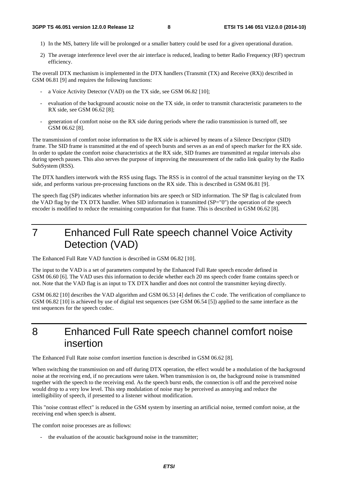- 1) In the MS, battery life will be prolonged or a smaller battery could be used for a given operational duration.
- 2) The average interference level over the air interface is reduced, leading to better Radio Frequency (RF) spectrum efficiency.

The overall DTX mechanism is implemented in the DTX handlers (Transmit (TX) and Receive (RX)) described in GSM 06.81 [9] and requires the following functions:

- a Voice Activity Detector (VAD) on the TX side, see GSM 06.82 [10];
- evaluation of the background acoustic noise on the TX side, in order to transmit characteristic parameters to the RX side, see GSM 06.62 [8];
- generation of comfort noise on the RX side during periods where the radio transmission is turned off, see GSM 06.62 [8].

The transmission of comfort noise information to the RX side is achieved by means of a Silence Descriptor (SID) frame. The SID frame is transmitted at the end of speech bursts and serves as an end of speech marker for the RX side. In order to update the comfort noise characteristics at the RX side, SID frames are transmitted at regular intervals also during speech pauses. This also serves the purpose of improving the measurement of the radio link quality by the Radio SubSystem (RSS).

The DTX handlers interwork with the RSS using flags. The RSS is in control of the actual transmitter keying on the TX side, and performs various pre-processing functions on the RX side. This is described in GSM 06.81 [9].

The speech flag (SP) indicates whether information bits are speech or SID information. The SP flag is calculated from the VAD flag by the TX DTX handler. When SID information is transmitted (SP="0") the operation of the speech encoder is modified to reduce the remaining computation for that frame. This is described in GSM 06.62 [8].

7 Enhanced Full Rate speech channel Voice Activity Detection (VAD)

The Enhanced Full Rate VAD function is described in GSM 06.82 [10].

The input to the VAD is a set of parameters computed by the Enhanced Full Rate speech encoder defined in GSM 06.60 [6]. The VAD uses this information to decide whether each 20 ms speech coder frame contains speech or not. Note that the VAD flag is an input to TX DTX handler and does not control the transmitter keying directly.

GSM 06.82 [10] describes the VAD algorithm and GSM 06.53 [4] defines the C code. The verification of compliance to GSM 06.82 [10] is achieved by use of digital test sequences (see GSM 06.54 [5]) applied to the same interface as the test sequences for the speech codec.

8 Enhanced Full Rate speech channel comfort noise insertion

The Enhanced Full Rate noise comfort insertion function is described in GSM 06.62 [8].

When switching the transmission on and off during DTX operation, the effect would be a modulation of the background noise at the receiving end, if no precautions were taken. When transmission is on, the background noise is transmitted together with the speech to the receiving end. As the speech burst ends, the connection is off and the perceived noise would drop to a very low level. This step modulation of noise may be perceived as annoying and reduce the intelligibility of speech, if presented to a listener without modification.

This "noise contrast effect" is reduced in the GSM system by inserting an artificial noise, termed comfort noise, at the receiving end when speech is absent.

The comfort noise processes are as follows:

the evaluation of the acoustic background noise in the transmitter;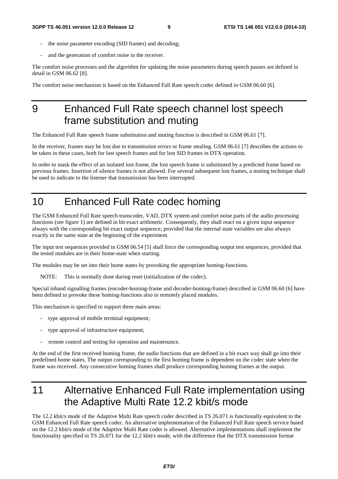- the noise parameter encoding (SID frames) and decoding;
- and the generation of comfort noise in the receiver.

The comfort noise processes and the algorithm for updating the noise parameters during speech pauses are defined in detail in GSM 06.62 [8].

The comfort noise mechanism is based on the Enhanced Full Rate speech codec defined in GSM 06.60 [6].

## 9 Enhanced Full Rate speech channel lost speech frame substitution and muting

The Enhanced Full Rate speech frame substitution and muting function is described in GSM 06.61 [7].

In the receiver, frames may be lost due to transmission errors or frame stealing. GSM 06.61 [7] describes the actions to be taken in these cases, both for lost speech frames and for lost SID frames in DTX operation.

In order to mask the effect of an isolated lost frame, the lost speech frame is substituted by a predicted frame based on previous frames. Insertion of silence frames is not allowed. For several subsequent lost frames, a muting technique shall be used to indicate to the listener that transmission has been interrupted.

# 10 Enhanced Full Rate codec homing

The GSM Enhanced Full Rate speech transcoder, VAD, DTX system and comfort noise parts of the audio processing functions (see figure 1) are defined in bit exact arithmetic. Consequently, they shall react on a given input sequence always with the corresponding bit exact output sequence, provided that the internal state variables are also always exactly in the same state at the beginning of the experiment.

The input test sequences provided in GSM 06.54 [5] shall force the corresponding output test sequences, provided that the tested modules are in their home-state when starting.

The modules may be set into their home states by provoking the appropriate homing-functions.

NOTE: This is normally done during reset (initialization of the codec).

Special inband signalling frames (encoder-homing-frame and decoder-homing-frame) described in GSM 06.60 [6] have been defined to provoke these homing-functions also in remotely placed modules.

This mechanism is specified to support three main areas:

- type approval of mobile terminal equipment;
- type approval of infrastructure equipment;
- remote control and testing for operation and maintenance.

At the end of the first received homing frame, the audio functions that are defined in a bit exact way shall go into their predefined home states. The output corresponding to the first homing frame is dependent on the codec state when the frame was received. Any consecutive homing frames shall produce corresponding homing frames at the output.

# 11 Alternative Enhanced Full Rate implementation using the Adaptive Multi Rate 12.2 kbit/s mode

The 12.2 kbit/s mode of the Adaptive Multi Rate speech coder described in TS 26.071 is functionally equivalent to the GSM Enhanced Full Rate speech coder. An alternative implementation of the Enhanced Full Rate speech service based on the 12.2 kbit/s mode of the Adaptive Multi Rate coder is allowed. Alternative implementations shall implement the functionality specified in TS 26.071 for the 12.2 kbit/s mode, with the difference that the DTX transmission format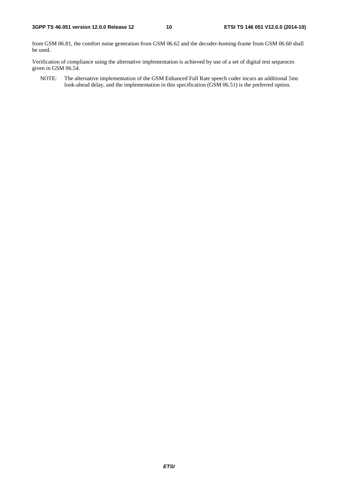from GSM 06.81, the comfort noise generation from GSM 06.62 and the decoder-homing-frame from GSM 06.60 shall be used.

Verification of compliance using the alternative implementation is achieved by use of a set of digital test sequences given in GSM 06.54.

NOTE: The alternative implementation of the GSM Enhanced Full Rate speech coder incurs an additional 5ms look-ahead delay, and the implementation in this specification (GSM 06.51) is the preferred option.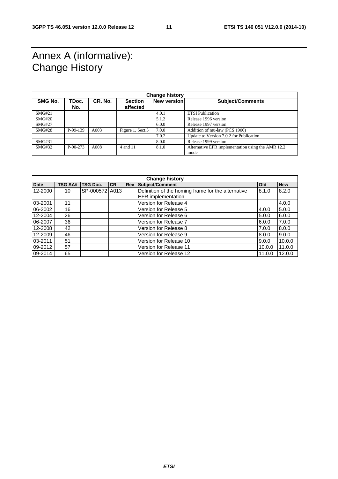### Annex A (informative): Change History

| <b>Change history</b> |                |         |                            |             |                                                           |
|-----------------------|----------------|---------|----------------------------|-------------|-----------------------------------------------------------|
| <b>SMG No.</b>        | TDoc.<br>No.   | CR. No. | <b>Section</b><br>affected | New version | <b>Subject/Comments</b>                                   |
| SMG#21                |                |         |                            | 4.0.1       | <b>ETSI</b> Publication                                   |
| SMG#20                |                |         |                            | 5.1.2       | Release 1996 version                                      |
| <b>SMG#27</b>         |                |         |                            | 6.0.0       | Release 1997 version                                      |
| SMG#28                | P-99-139       | A003    | Figure 1, Sect.5           | 7.0.0       | Addition of mu-law (PCS 1900)                             |
|                       |                |         |                            | 7.0.2       | Update to Version 7.0.2 for Publication                   |
| SMG#31                |                |         |                            | 8.0.0       | Release 1999 version                                      |
| SMG#32                | $P - 00 - 273$ | A008    | 4 and 11                   | 8.1.0       | Alternative EFR implementation using the AMR 12.2<br>mode |

| <b>Change history</b> |                |                 |           |  |                                                    |        |            |
|-----------------------|----------------|-----------------|-----------|--|----------------------------------------------------|--------|------------|
| <b>Date</b>           | <b>TSG SA#</b> | <b>TSG Doc.</b> | <b>CR</b> |  | <b>Rev Subject/Comment</b>                         | Old    | <b>New</b> |
| 12-2000               | 10             | SP-000572 A013  |           |  | Definition of the homing frame for the alternative | 8.1.0  | 8.2.0      |
|                       |                |                 |           |  | <b>EFR</b> implementation                          |        |            |
| 03-2001               | 11             |                 |           |  | Version for Release 4                              |        | 4.0.0      |
| 06-2002               | 16             |                 |           |  | Version for Release 5                              | 4.0.0  | 5.0.0      |
| 12-2004               | 26             |                 |           |  | Version for Release 6                              | 5.0.0  | 6.0.0      |
| 06-2007               | 36             |                 |           |  | Version for Release 7                              | 6.0.0  | 7.0.0      |
| 12-2008               | 42             |                 |           |  | Version for Release 8                              | 7.0.0  | 8.0.0      |
| 12-2009               | 46             |                 |           |  | Version for Release 9                              | 8.0.0  | 9.0.0      |
| 03-2011               | 51             |                 |           |  | Version for Release 10                             | 9.0.0  | 10.0.0     |
| 09-2012               | 57             |                 |           |  | Version for Release 11                             | 10.0.0 | 11.0.0     |
| 09-2014               | 65             |                 |           |  | Version for Release 12                             | 11.0.0 | 12.0.0     |